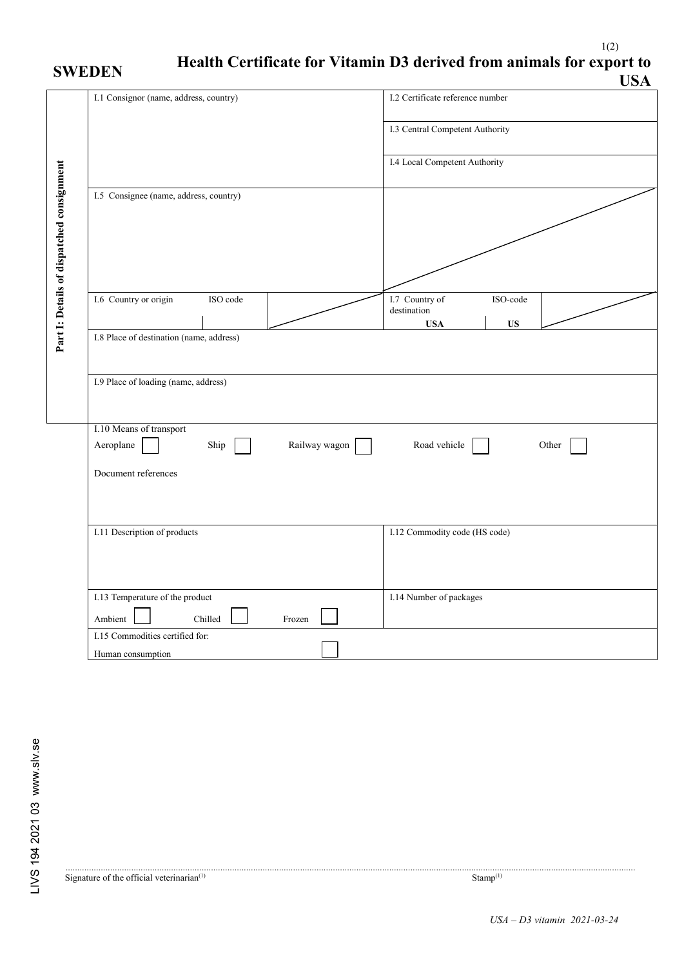## 1(2) **SWEDEN Health Certificate for Vitamin D3 derived from animals for export to USA**

|                                           |                                                               | USA                                                                  |
|-------------------------------------------|---------------------------------------------------------------|----------------------------------------------------------------------|
|                                           | I.1 Consignor (name, address, country)                        | I.2 Certificate reference number                                     |
|                                           |                                                               | I.3 Central Competent Authority                                      |
|                                           |                                                               | I.4 Local Competent Authority                                        |
|                                           | I.5 Consignee (name, address, country)                        |                                                                      |
| Part I: Details of dispatched consignment |                                                               |                                                                      |
|                                           | I.6 Country or origin<br>ISO code                             | I.7 Country of<br>ISO-code<br>destination<br><b>US</b><br><b>USA</b> |
|                                           | I.8 Place of destination (name, address)                      |                                                                      |
|                                           | I.9 Place of loading (name, address)                          |                                                                      |
|                                           | I.10 Means of transport<br>Railway wagon<br>Aeroplane<br>Ship | Road vehicle<br>Other                                                |
|                                           | Document references                                           |                                                                      |
|                                           |                                                               |                                                                      |
|                                           | I.11 Description of products                                  | I.12 Commodity code (HS code)                                        |
|                                           | I.13 Temperature of the product                               | I.14 Number of packages                                              |
|                                           | Ambient<br>Chilled<br>Frozen                                  |                                                                      |
|                                           | I.15 Commodities certified for:<br>Human consumption          |                                                                      |